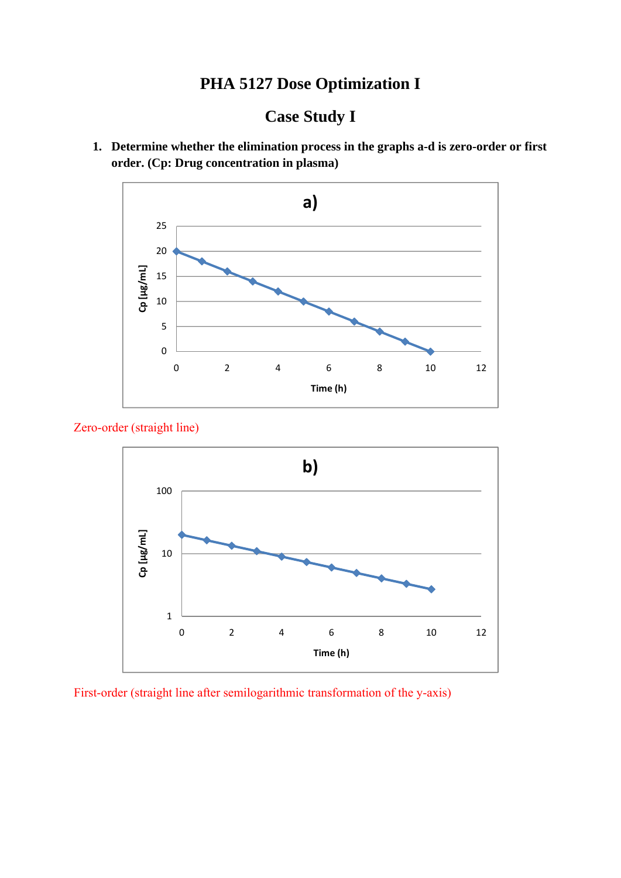# **PHA 5127 Dose Optimization I**

# **Case Study I**

**1. Determine whether the elimination process in the graphs a-d is zero-order or first order. (Cp: Drug concentration in plasma)** 



Zero-order (straight line)



First-order (straight line after semilogarithmic transformation of the y-axis)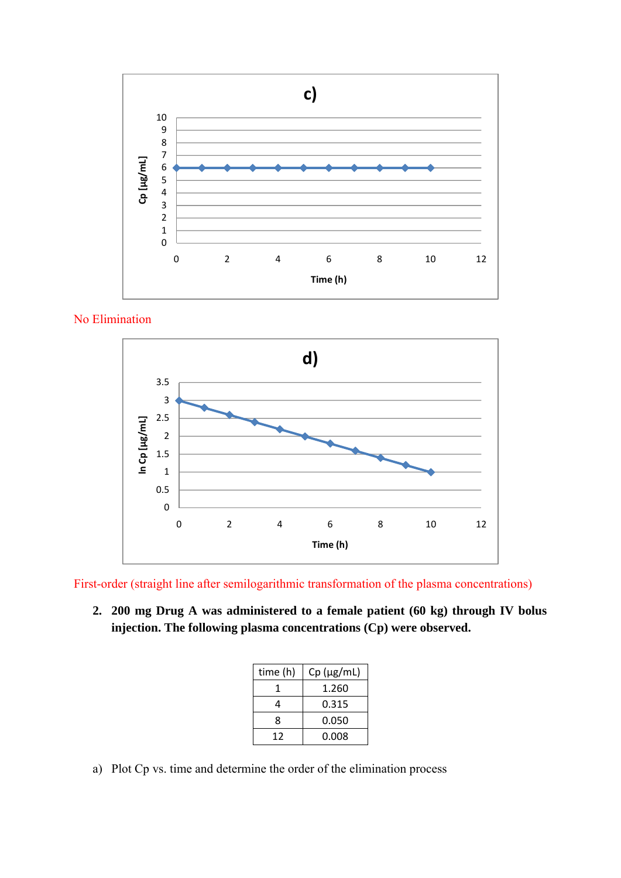

No Elimination



First-order (straight line after semilogarithmic transformation of the plasma concentrations)

**2. 200 mg Drug A was administered to a female patient (60 kg) through IV bolus injection. The following plasma concentrations (Cp) were observed.** 

| time (h) | $Cp$ ( $\mu$ g/mL) |
|----------|--------------------|
|          | 1.260              |
|          | 0.315              |
| 8        | 0.050              |
| 12       | 0.008              |

a) Plot Cp vs. time and determine the order of the elimination process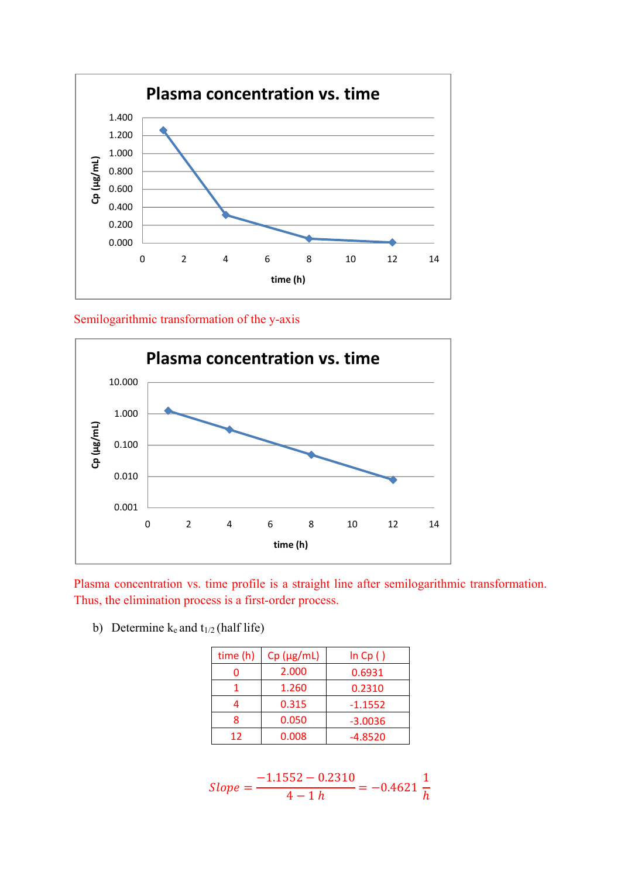

Semilogarithmic transformation of the y-axis



Plasma concentration vs. time profile is a straight line after semilogarithmic transformation. Thus, the elimination process is a first-order process.

b) Determine  $k_e$  and  $t_{1/2}$  (half life)

| time (h) | $Cp$ ( $\mu$ g/mL) | ln Cp()   |
|----------|--------------------|-----------|
|          | 2.000              | 0.6931    |
|          | 1.260              | 0.2310    |
|          | 0.315              | $-1.1552$ |
| Ջ        | 0.050              | $-3.0036$ |
| 12       | 0.008              | $-4.8520$ |

$$
Slope = \frac{-1.1552 - 0.2310}{4 - 1 h} = -0.4621 \frac{1}{h}
$$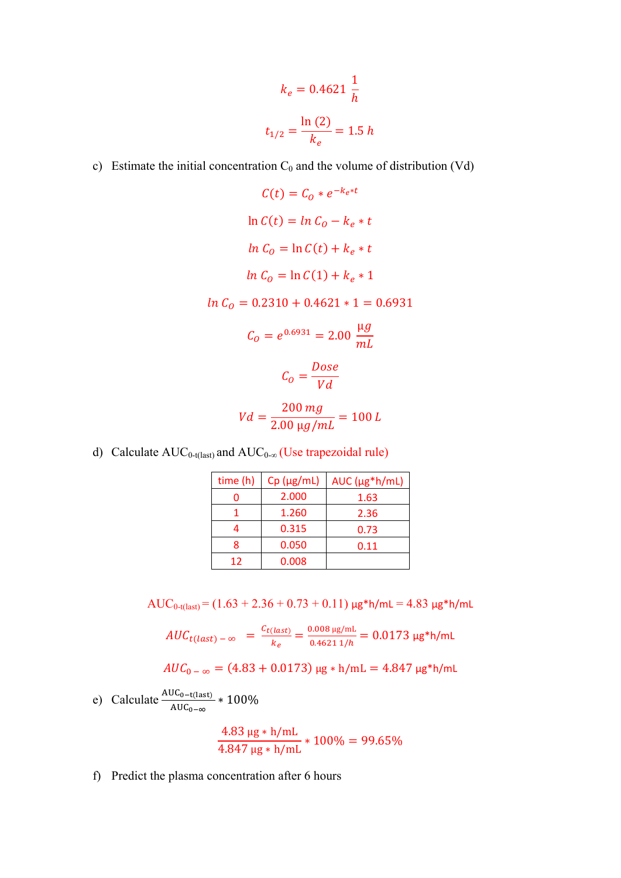$$
k_e = 0.4621 \frac{1}{h}
$$

$$
t_{1/2} = \frac{\ln(2)}{k_e} = 1.5 h
$$

- c) Estimate the initial concentration  $C_0$  and the volume of distribution (Vd)
	- $C(t) = C_0 * e^{-k_e * t}$  $\ln C(t) = \ln C_0 - k_e * t$  $\ln C_0 = \ln C(t) + k_e * t$  $ln C_0 = ln C(1) + k_e * 1$  $ln C<sub>o</sub> = 0.2310 + 0.4621 * 1 = 0.6931$  $C_O = e^{0.6931} = 2.00 \frac{\mu g}{mL}$ Dose  $C_O = \frac{1}{V d}$  $Vd = \frac{200 \text{ mg}}{200 \text{ g/s}} = 100 \text{ L}$  $2.00 \mu g/mL$
- d) Calculate  $AUC_{0-t(last)}$  and  $AUC_{0-\infty}$  (Use trapezoidal rule)

| time (h) | $Cp$ ( $\mu$ g/mL) | $AUC$ ( $\mu$ g*h/mL) |
|----------|--------------------|-----------------------|
|          | 2.000              | 1.63                  |
|          | 1.260              | 2.36                  |
|          | 0.315              | 0.73                  |
| Ջ        | 0.050              | 0.11                  |
| 12       | 0.008              |                       |

 $AUC_{0-t(last)} = (1.63 + 2.36 + 0.73 + 0.11) \mu g * h/mL = 4.83 \mu g * h/mL$ 

$$
AUC_{t(last)-\infty} = \frac{c_{t(last)}}{k_e} = \frac{0.008 \,\mu\text{s/mL}}{0.4621 \,\text{1/h}} = 0.0173 \,\mu\text{s}}*h/\text{mL}
$$

$$
AUC_{0-\infty} = (4.83 + 0.0173) \,\mu\text{g} * \text{h/mL} = 4.847 \,\mu\text{g} * \text{h/mL}
$$

e) Calculate  $\frac{\text{AUC}_{0-\text{t}(last)}}{\text{AUC}_{0-\infty}} * 100\%$ 

$$
\frac{4.83 \text{ µg} * \text{h/mL}}{4.847 \text{ µg} * \text{h/mL}} * 100\% = 99.65\%
$$

f) Predict the plasma concentration after 6 hours